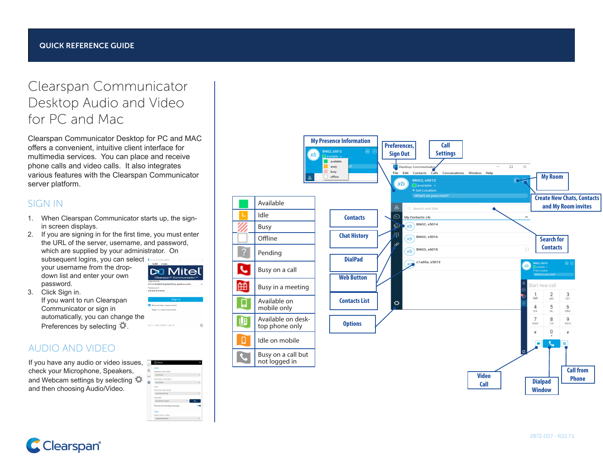# Clearspan Communicator Desktop Audio and Video for PC and Mac

Clearspan Communicator Desktop for PC and MAC offers a convenient, intuitive client interface for multimedia services. You can place and receive phone calls and video calls. It also integrates various features with the Clearspan Communicator server platform.

# SIGN IN

- 1. When Clearspan Communicator starts up, the signin screen displays.
- 2. If you are signing in for the first time, you must enter the URL of the server, username, and password, which are supplied by your administrator. On subsequent logins, you can select

your username from the dropdown list and enter your own password.

3. Click Sign in. If you want to run Clearspan Communicator or sign in automatically, you can change the Preferences by selecting  $\ddot{\mathbf{Q}}$ .

# AUDIO AND VIDEO

If you have any audio or video issues, check your Microphone, Speakers, and Webcam settings by selecting and then choosing Audio/Video.

| O | <b>FillMedia</b>               |      |
|---|--------------------------------|------|
|   | Audio.                         |      |
| ₩ | Speakers (voice output)        |      |
| ⊖ | Use Default                    |      |
|   | Microphone (voice incut)       |      |
| ٥ | <b>Use Default</b>             |      |
|   | Level                          |      |
|   | Ring device (alert signal)     |      |
|   | Use Output Device              |      |
|   | Ring signal                    |      |
|   | Standard ring signal           | Play |
|   | Play tone for incoming message |      |
|   | <b>Virtun</b>                  |      |
|   | Capture device (Video)         |      |
|   | Integrated Webcam              |      |

**DO Mitel** , semanie<br>0700000001 = 11.001 = - - - 1-- - -

ø

Password<br>●●●●●●●●●●

22.7.1.202 (FIPS-140-2)